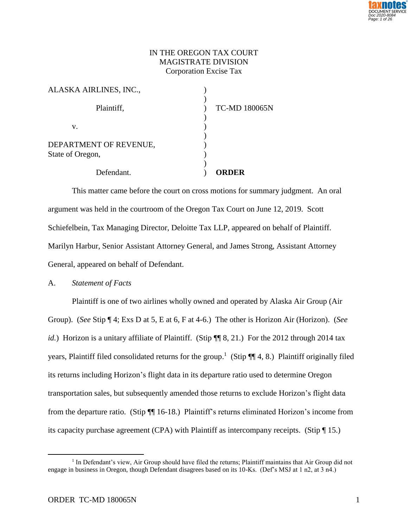

# IN THE OREGON TAX COURT MAGISTRATE DIVISION Corporation Excise Tax

| State of Oregon,       |                      |
|------------------------|----------------------|
| DEPARTMENT OF REVENUE, |                      |
| v.                     |                      |
| Plaintiff,             | <b>TC-MD 180065N</b> |
| ALASKA AIRLINES, INC., |                      |

This matter came before the court on cross motions for summary judgment. An oral argument was held in the courtroom of the Oregon Tax Court on June 12, 2019. Scott Schiefelbein, Tax Managing Director, Deloitte Tax LLP, appeared on behalf of Plaintiff. Marilyn Harbur, Senior Assistant Attorney General, and James Strong, Assistant Attorney General, appeared on behalf of Defendant.

## A. *Statement of Facts*

Plaintiff is one of two airlines wholly owned and operated by Alaska Air Group (Air Group). (*See* Stip ¶ 4; Exs D at 5, E at 6, F at 4-6.) The other is Horizon Air (Horizon). (*See id.*) Horizon is a unitary affiliate of Plaintiff. (Stip  $\P\P$  8, 21.) For the 2012 through 2014 tax years, Plaintiff filed consolidated returns for the group.<sup>1</sup> (Stip ¶¶ 4, 8.) Plaintiff originally filed its returns including Horizon's flight data in its departure ratio used to determine Oregon transportation sales, but subsequently amended those returns to exclude Horizon's flight data from the departure ratio. (Stip ¶¶ 16-18.) Plaintiff's returns eliminated Horizon's income from its capacity purchase agreement (CPA) with Plaintiff as intercompany receipts. (Stip ¶ 15.)

<sup>&</sup>lt;sup>1</sup> In Defendant's view, Air Group should have filed the returns; Plaintiff maintains that Air Group did not engage in business in Oregon, though Defendant disagrees based on its 10-Ks. (Def's MSJ at 1 n2, at 3 n4.)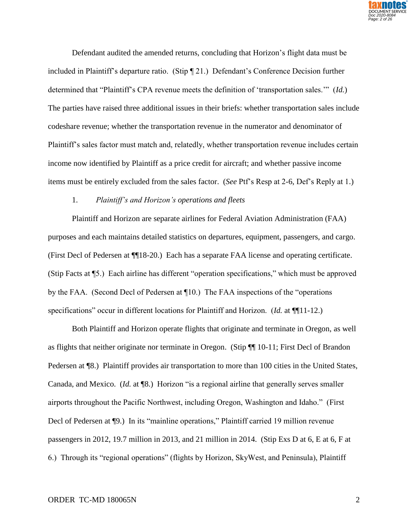

Defendant audited the amended returns, concluding that Horizon's flight data must be included in Plaintiff's departure ratio. (Stip ¶ 21.) Defendant's Conference Decision further determined that "Plaintiff's CPA revenue meets the definition of 'transportation sales.'" (*Id.*) The parties have raised three additional issues in their briefs: whether transportation sales include codeshare revenue; whether the transportation revenue in the numerator and denominator of Plaintiff's sales factor must match and, relatedly, whether transportation revenue includes certain income now identified by Plaintiff as a price credit for aircraft; and whether passive income items must be entirely excluded from the sales factor. (*See* Ptf's Resp at 2-6, Def's Reply at 1.)

### 1. *Plaintiff's and Horizon's operations and fleets*

Plaintiff and Horizon are separate airlines for Federal Aviation Administration (FAA) purposes and each maintains detailed statistics on departures, equipment, passengers, and cargo. (First Decl of Pedersen at ¶¶18-20.) Each has a separate FAA license and operating certificate. (Stip Facts at ¶5.) Each airline has different "operation specifications," which must be approved by the FAA. (Second Decl of Pedersen at ¶10.) The FAA inspections of the "operations specifications" occur in different locations for Plaintiff and Horizon. (*Id.* at ¶¶11-12.)

Both Plaintiff and Horizon operate flights that originate and terminate in Oregon, as well as flights that neither originate nor terminate in Oregon. (Stip ¶¶ 10-11; First Decl of Brandon Pedersen at  $\P$ 8.) Plaintiff provides air transportation to more than 100 cities in the United States, Canada, and Mexico. (*Id.* at ¶8.) Horizon "is a regional airline that generally serves smaller airports throughout the Pacific Northwest, including Oregon, Washington and Idaho." (First Decl of Pedersen at ¶9.) In its "mainline operations," Plaintiff carried 19 million revenue passengers in 2012, 19.7 million in 2013, and 21 million in 2014. (Stip Exs D at 6, E at 6, F at 6.) Through its "regional operations" (flights by Horizon, SkyWest, and Peninsula), Plaintiff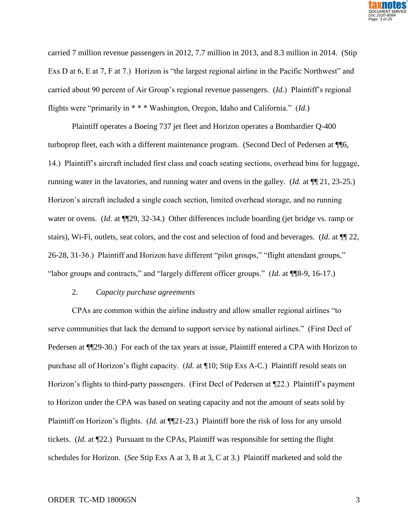

carried 7 million revenue passengers in 2012, 7.7 million in 2013, and 8.3 million in 2014. (Stip Exs D at 6, E at 7, F at 7.) Horizon is "the largest regional airline in the Pacific Northwest" and carried about 90 percent of Air Group's regional revenue passengers. (*Id.*) Plaintiff's regional flights were "primarily in \* \* \* Washington, Oregon, Idaho and California." (*Id.*)

Plaintiff operates a Boeing 737 jet fleet and Horizon operates a Bombardier Q-400 turboprop fleet, each with a different maintenance program. (Second Decl of Pedersen at ¶¶6, 14.) Plaintiff's aircraft included first class and coach seating sections, overhead bins for luggage, running water in the lavatories, and running water and ovens in the galley. (*Id.* at  $\P$   $\P$  21, 23-25.) Horizon's aircraft included a single coach section, limited overhead storage, and no running water or ovens. (*Id.* at  $\P$ [29, 32-34.) Other differences include boarding (jet bridge vs. ramp or stairs), Wi-Fi, outlets, seat colors, and the cost and selection of food and beverages. (*Id.* at ¶¶ 22, 26-28, 31-36.) Plaintiff and Horizon have different "pilot groups," "flight attendant groups," "labor groups and contracts," and "largely different officer groups." (*Id.* at ¶¶8-9, 16-17.)

#### 2. *Capacity purchase agreements*

CPAs are common within the airline industry and allow smaller regional airlines "to serve communities that lack the demand to support service by national airlines." (First Decl of Pedersen at  $\P$ [29-30.) For each of the tax years at issue, Plaintiff entered a CPA with Horizon to purchase all of Horizon's flight capacity. (*Id.* at ¶10; Stip Exs A-C.) Plaintiff resold seats on Horizon's flights to third-party passengers. (First Decl of Pedersen at ¶22.) Plaintiff's payment to Horizon under the CPA was based on seating capacity and not the amount of seats sold by Plaintiff on Horizon's flights. (*Id.* at ¶¶21-23.) Plaintiff bore the risk of loss for any unsold tickets. (*Id.* at ¶22.) Pursuant to the CPAs, Plaintiff was responsible for setting the flight schedules for Horizon. (*See* Stip Exs A at 3, B at 3, C at 3.) Plaintiff marketed and sold the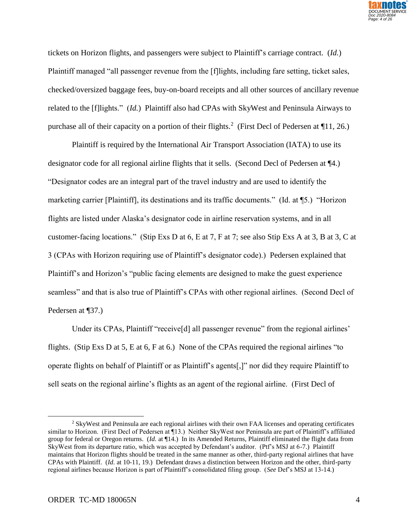

tickets on Horizon flights, and passengers were subject to Plaintiff's carriage contract. (*Id.*) Plaintiff managed "all passenger revenue from the [f]lights, including fare setting, ticket sales, checked/oversized baggage fees, buy-on-board receipts and all other sources of ancillary revenue related to the [f]lights." (*Id.*) Plaintiff also had CPAs with SkyWest and Peninsula Airways to purchase all of their capacity on a portion of their flights.<sup>2</sup> (First Decl of Pedersen at  $\P{11, 26}$ .)

Plaintiff is required by the International Air Transport Association (IATA) to use its designator code for all regional airline flights that it sells. (Second Decl of Pedersen at ¶4.) "Designator codes are an integral part of the travel industry and are used to identify the marketing carrier [Plaintiff], its destinations and its traffic documents." (Id. at ¶5.) "Horizon flights are listed under Alaska's designator code in airline reservation systems, and in all customer-facing locations." (Stip Exs D at 6, E at 7, F at 7; see also Stip Exs A at 3, B at 3, C at 3 (CPAs with Horizon requiring use of Plaintiff's designator code).) Pedersen explained that Plaintiff's and Horizon's "public facing elements are designed to make the guest experience seamless" and that is also true of Plaintiff's CPAs with other regional airlines. (Second Decl of Pedersen at ¶37.)

Under its CPAs, Plaintiff "receive<sup>[d]</sup> all passenger revenue" from the regional airlines' flights. (Stip Exs D at 5, E at 6, F at 6.) None of the CPAs required the regional airlines "to operate flights on behalf of Plaintiff or as Plaintiff's agents[,]" nor did they require Plaintiff to sell seats on the regional airline's flights as an agent of the regional airline. (First Decl of

<sup>2</sup> SkyWest and Peninsula are each regional airlines with their own FAA licenses and operating certificates similar to Horizon. (First Decl of Pedersen at ¶13.) Neither SkyWest nor Peninsula are part of Plaintiff's affiliated group for federal or Oregon returns. (*Id.* at ¶14.) In its Amended Returns, Plaintiff eliminated the flight data from SkyWest from its departure ratio, which was accepted by Defendant's auditor. (Ptf's MSJ at 6-7.) Plaintiff maintains that Horizon flights should be treated in the same manner as other, third-party regional airlines that have CPAs with Plaintiff. (*Id.* at 10-11, 19.) Defendant draws a distinction between Horizon and the other, third-party regional airlines because Horizon is part of Plaintiff's consolidated filing group. (*See* Def's MSJ at 13-14.)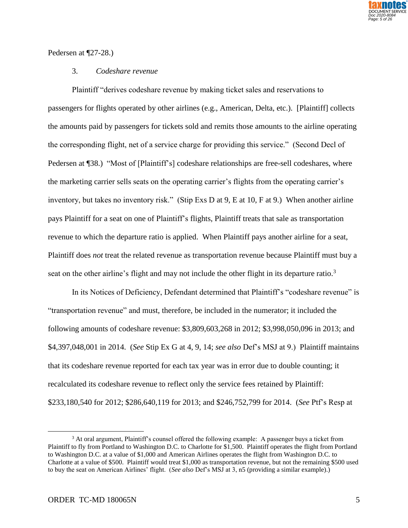

## Pedersen at ¶27-28.)

### 3. *Codeshare revenue*

Plaintiff "derives codeshare revenue by making ticket sales and reservations to passengers for flights operated by other airlines (e.g., American, Delta, etc.). [Plaintiff] collects the amounts paid by passengers for tickets sold and remits those amounts to the airline operating the corresponding flight, net of a service charge for providing this service." (Second Decl of Pedersen at ¶38.) "Most of [Plaintiff's] codeshare relationships are free-sell codeshares, where the marketing carrier sells seats on the operating carrier's flights from the operating carrier's inventory, but takes no inventory risk." (Stip Exs D at 9, E at 10, F at 9.) When another airline pays Plaintiff for a seat on one of Plaintiff's flights, Plaintiff treats that sale as transportation revenue to which the departure ratio is applied. When Plaintiff pays another airline for a seat, Plaintiff does *not* treat the related revenue as transportation revenue because Plaintiff must buy a seat on the other airline's flight and may not include the other flight in its departure ratio.<sup>3</sup>

In its Notices of Deficiency, Defendant determined that Plaintiff's "codeshare revenue" is "transportation revenue" and must, therefore, be included in the numerator; it included the following amounts of codeshare revenue: \$3,809,603,268 in 2012; \$3,998,050,096 in 2013; and \$4,397,048,001 in 2014. (*See* Stip Ex G at 4, 9, 14; *see also* Def's MSJ at 9.) Plaintiff maintains that its codeshare revenue reported for each tax year was in error due to double counting; it recalculated its codeshare revenue to reflect only the service fees retained by Plaintiff: \$233,180,540 for 2012; \$286,640,119 for 2013; and \$246,752,799 for 2014. (*See* Ptf's Resp at

<sup>&</sup>lt;sup>3</sup> At oral argument, Plaintiff's counsel offered the following example: A passenger buys a ticket from Plaintiff to fly from Portland to Washington D.C. to Charlotte for \$1,500. Plaintiff operates the flight from Portland to Washington D.C. at a value of \$1,000 and American Airlines operates the flight from Washington D.C. to Charlotte at a value of \$500. Plaintiff would treat \$1,000 as transportation revenue, but not the remaining \$500 used to buy the seat on American Airlines' flight. (*See also* Def's MSJ at 3, n5 (providing a similar example).)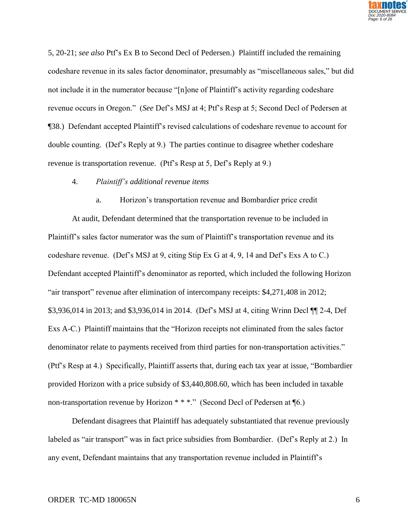

5, 20-21; *see also* Ptf's Ex B to Second Decl of Pedersen.) Plaintiff included the remaining codeshare revenue in its sales factor denominator, presumably as "miscellaneous sales," but did not include it in the numerator because "[n]one of Plaintiff's activity regarding codeshare revenue occurs in Oregon." (*See* Def's MSJ at 4; Ptf's Resp at 5; Second Decl of Pedersen at ¶38.) Defendant accepted Plaintiff's revised calculations of codeshare revenue to account for double counting. (Def's Reply at 9.) The parties continue to disagree whether codeshare revenue is transportation revenue. (Ptf's Resp at 5, Def's Reply at 9.)

### 4. *Plaintiff's additional revenue items*

a. Horizon's transportation revenue and Bombardier price credit

At audit, Defendant determined that the transportation revenue to be included in Plaintiff's sales factor numerator was the sum of Plaintiff's transportation revenue and its codeshare revenue. (Def's MSJ at 9, citing Stip Ex G at 4, 9, 14 and Def's Exs A to C.) Defendant accepted Plaintiff's denominator as reported, which included the following Horizon "air transport" revenue after elimination of intercompany receipts: \$4,271,408 in 2012; \$3,936,014 in 2013; and \$3,936,014 in 2014. (Def's MSJ at 4, citing Wrinn Decl ¶¶ 2-4, Def Exs A-C.) Plaintiff maintains that the "Horizon receipts not eliminated from the sales factor denominator relate to payments received from third parties for non-transportation activities." (Ptf's Resp at 4.) Specifically, Plaintiff asserts that, during each tax year at issue, "Bombardier provided Horizon with a price subsidy of \$3,440,808.60, which has been included in taxable non-transportation revenue by Horizon \* \* \*." (Second Decl of Pedersen at ¶6.)

Defendant disagrees that Plaintiff has adequately substantiated that revenue previously labeled as "air transport" was in fact price subsidies from Bombardier. (Def's Reply at 2.) In any event, Defendant maintains that any transportation revenue included in Plaintiff's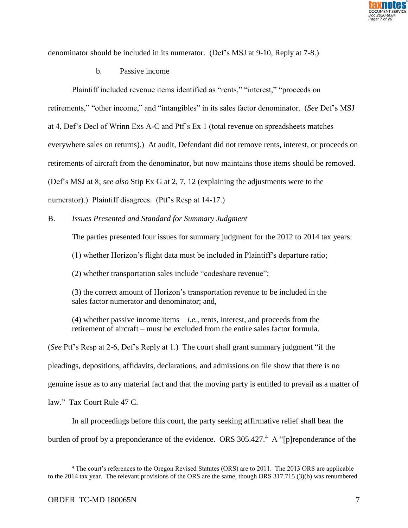

denominator should be included in its numerator. (Def's MSJ at 9-10, Reply at 7-8.)

b. Passive income

Plaintiff included revenue items identified as "rents," "interest," "proceeds on retirements," "other income," and "intangibles" in its sales factor denominator. (*See* Def's MSJ at 4, Def's Decl of Wrinn Exs A-C and Ptf's Ex 1 (total revenue on spreadsheets matches everywhere sales on returns).) At audit, Defendant did not remove rents, interest, or proceeds on retirements of aircraft from the denominator, but now maintains those items should be removed. (Def's MSJ at 8; *see also* Stip Ex G at 2, 7, 12 (explaining the adjustments were to the numerator).) Plaintiff disagrees. (Ptf's Resp at 14-17.)

B. *Issues Presented and Standard for Summary Judgment*

The parties presented four issues for summary judgment for the 2012 to 2014 tax years:

(1) whether Horizon's flight data must be included in Plaintiff's departure ratio;

(2) whether transportation sales include "codeshare revenue";

(3) the correct amount of Horizon's transportation revenue to be included in the sales factor numerator and denominator; and,

(4) whether passive income items – *i.e.*, rents, interest, and proceeds from the retirement of aircraft – must be excluded from the entire sales factor formula.

(*See* Ptf's Resp at 2-6, Def's Reply at 1.) The court shall grant summary judgment "if the pleadings, depositions, affidavits, declarations, and admissions on file show that there is no genuine issue as to any material fact and that the moving party is entitled to prevail as a matter of law." Tax Court Rule 47 C.

In all proceedings before this court, the party seeking affirmative relief shall bear the burden of proof by a preponderance of the evidence. ORS 305.427.<sup>4</sup> A "[p]reponderance of the

<sup>4</sup> The court's references to the Oregon Revised Statutes (ORS) are to 2011. The 2013 ORS are applicable to the 2014 tax year. The relevant provisions of the ORS are the same, though ORS 317.715 (3)(b) was renumbered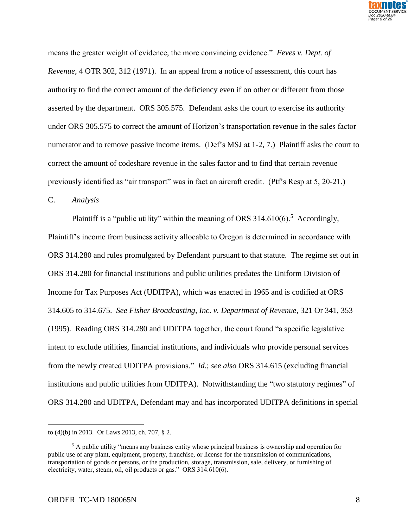

means the greater weight of evidence, the more convincing evidence." *Feves v. Dept. of Revenue*, 4 OTR 302, 312 (1971). In an appeal from a notice of assessment, this court has authority to find the correct amount of the deficiency even if on other or different from those asserted by the department. ORS 305.575. Defendant asks the court to exercise its authority under ORS 305.575 to correct the amount of Horizon's transportation revenue in the sales factor numerator and to remove passive income items. (Def's MSJ at 1-2, 7.) Plaintiff asks the court to correct the amount of codeshare revenue in the sales factor and to find that certain revenue previously identified as "air transport" was in fact an aircraft credit. (Ptf's Resp at 5, 20-21.)

C. *Analysis*

Plaintiff is a "public utility" within the meaning of ORS  $314.610(6)$ .<sup>5</sup> Accordingly, Plaintiff's income from business activity allocable to Oregon is determined in accordance with ORS 314.280 and rules promulgated by Defendant pursuant to that statute. The regime set out in ORS 314.280 for financial institutions and public utilities predates the Uniform Division of Income for Tax Purposes Act (UDITPA), which was enacted in 1965 and is codified at ORS 314.605 to 314.675. *See Fisher Broadcasting, Inc. v. Department of Revenue*, 321 Or 341, 353 (1995). Reading ORS 314.280 and UDITPA together, the court found "a specific legislative intent to exclude utilities, financial institutions, and individuals who provide personal services from the newly created UDITPA provisions." *Id.*; *see also* ORS 314.615 (excluding financial institutions and public utilities from UDITPA). Notwithstanding the "two statutory regimes" of ORS 314.280 and UDITPA, Defendant may and has incorporated UDITPA definitions in special

to (4)(b) in 2013. Or Laws 2013, ch. 707, § 2.

<sup>5</sup> A public utility "means any business entity whose principal business is ownership and operation for public use of any plant, equipment, property, franchise, or license for the transmission of communications, transportation of goods or persons, or the production, storage, transmission, sale, delivery, or furnishing of electricity, water, steam, oil, oil products or gas." ORS 314.610(6).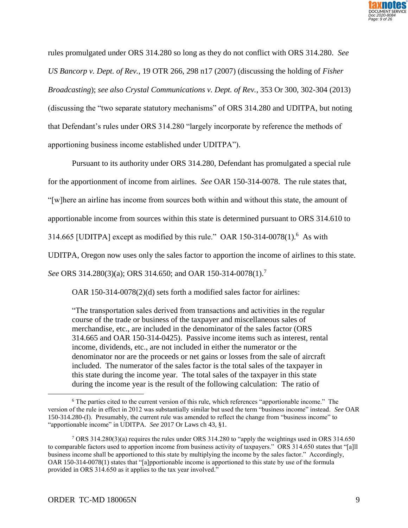

rules promulgated under ORS 314.280 so long as they do not conflict with ORS 314.280. *See US Bancorp v. Dept. of Rev.*, 19 OTR 266, 298 n17 (2007) (discussing the holding of *Fisher Broadcasting*); *see also Crystal Communications v. Dept. of Rev.*, 353 Or 300, 302-304 (2013) (discussing the "two separate statutory mechanisms" of ORS 314.280 and UDITPA, but noting that Defendant's rules under ORS 314.280 "largely incorporate by reference the methods of apportioning business income established under UDITPA").

Pursuant to its authority under ORS 314.280, Defendant has promulgated a special rule

for the apportionment of income from airlines. *See* OAR 150-314-0078. The rule states that,

"[w]here an airline has income from sources both within and without this state, the amount of

apportionable income from sources within this state is determined pursuant to ORS 314.610 to

314.665 [UDITPA] except as modified by this rule." OAR 150-314-0078 $(1)$ .<sup>6</sup> As with

UDITPA, Oregon now uses only the sales factor to apportion the income of airlines to this state.

*See* ORS 314.280(3)(a); ORS 314.650; and OAR 150-314-0078(1).<sup>7</sup>

OAR 150-314-0078(2)(d) sets forth a modified sales factor for airlines:

"The transportation sales derived from transactions and activities in the regular course of the trade or business of the taxpayer and miscellaneous sales of merchandise, etc., are included in the denominator of the sales factor (ORS 314.665 and OAR 150-314-0425). Passive income items such as interest, rental income, dividends, etc., are not included in either the numerator or the denominator nor are the proceeds or net gains or losses from the sale of aircraft included. The numerator of the sales factor is the total sales of the taxpayer in this state during the income year. The total sales of the taxpayer in this state during the income year is the result of the following calculation: The ratio of

<sup>6</sup> The parties cited to the current version of this rule, which references "apportionable income." The version of the rule in effect in 2012 was substantially similar but used the term "business income" instead. *See* OAR 150-314.280-(I). Presumably, the current rule was amended to reflect the change from "business income" to "apportionable income" in UDITPA. *See* 2017 Or Laws ch 43, §1.

<sup>7</sup> ORS 314.280(3)(a) requires the rules under ORS 314.280 to "apply the weightings used in ORS 314.650 to comparable factors used to apportion income from business activity of taxpayers." ORS 314.650 states that "[a]ll business income shall be apportioned to this state by multiplying the income by the sales factor." Accordingly, OAR 150-314-0078(1) states that "[a]pportionable income is apportioned to this state by use of the formula provided in ORS 314.650 as it applies to the tax year involved."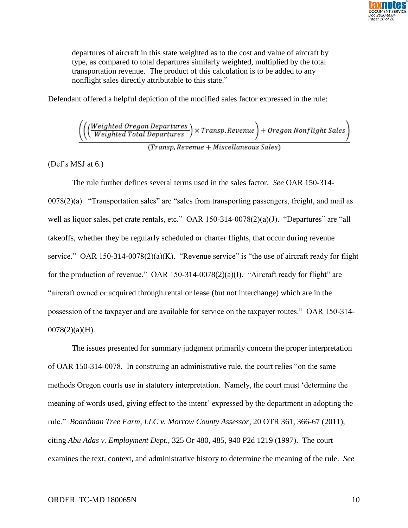

departures of aircraft in this state weighted as to the cost and value of aircraft by type, as compared to total departures similarly weighted, multiplied by the total transportation revenue. The product of this calculation is to be added to any nonflight sales directly attributable to this state."

Defendant offered a helpful depiction of the modified sales factor expressed in the rule:

 $\left(\left(\frac{Weighted\ Oregon\ Department}{Weighted\ Total\ Department}\right) \times Transp\. \textit{Revenue}\right) + Oregon\ Nonflight\ Sales$ 

Transp, Revenue + Miscellaneous Sales)

(Def's MSJ at 6.)

The rule further defines several terms used in the sales factor. *See* OAR 150-314- 0078(2)(a). "Transportation sales" are "sales from transporting passengers, freight, and mail as well as liquor sales, pet crate rentals, etc." OAR 150-314-0078(2)(a)(J). "Departures" are "all takeoffs, whether they be regularly scheduled or charter flights, that occur during revenue service." OAR 150-314-0078(2)(a)(K). "Revenue service" is "the use of aircraft ready for flight for the production of revenue." OAR 150-314-0078 $(2)(a)(I)$ . "Aircraft ready for flight" are "aircraft owned or acquired through rental or lease (but not interchange) which are in the possession of the taxpayer and are available for service on the taxpayer routes." OAR 150-314- 0078(2)(a)(H).

The issues presented for summary judgment primarily concern the proper interpretation of OAR 150-314-0078. In construing an administrative rule, the court relies "on the same methods Oregon courts use in statutory interpretation. Namely, the court must 'determine the meaning of words used, giving effect to the intent' expressed by the department in adopting the rule." *Boardman Tree Farm, LLC v. Morrow County Assessor*, 20 OTR 361, 366-67 (2011), citing *Abu Adas v. Employment Dept.,* 325 Or 480, 485, 940 P2d 1219 (1997). The court examines the text, context, and administrative history to determine the meaning of the rule. *See*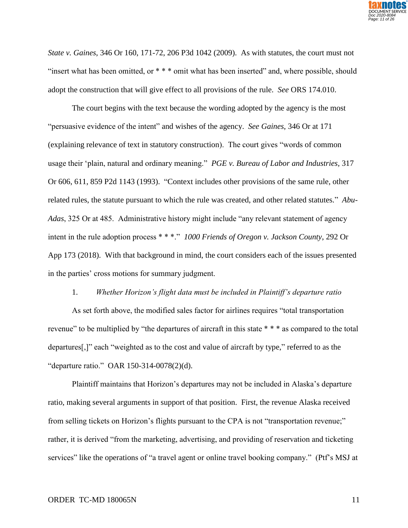

*State v. Gaines*, 346 Or 160, 171-72, 206 P3d 1042 (2009). As with statutes, the court must not "insert what has been omitted, or \*\*\* omit what has been inserted" and, where possible, should adopt the construction that will give effect to all provisions of the rule. *See* ORS 174.010.

The court begins with the text because the wording adopted by the agency is the most "persuasive evidence of the intent" and wishes of the agency. *See Gaines*, 346 Or at 171 (explaining relevance of text in statutory construction). The court gives "words of common usage their 'plain, natural and ordinary meaning." *PGE v. Bureau of Labor and Industries,* 317 Or 606, 611, 859 P2d 1143 (1993). "Context includes other provisions of the same rule, other related rules, the statute pursuant to which the rule was created, and other related statutes." *Abu-Adas*, 325 Or at 485. Administrative history might include "any relevant statement of agency intent in the rule adoption process \* \* \*." *1000 Friends of Oregon v. Jackson County*, 292 Or App 173 (2018). With that background in mind, the court considers each of the issues presented in the parties' cross motions for summary judgment.

#### 1. *Whether Horizon's flight data must be included in Plaintiff's departure ratio*

As set forth above, the modified sales factor for airlines requires "total transportation revenue" to be multiplied by "the departures of aircraft in this state \* \* \* as compared to the total departures[,]" each "weighted as to the cost and value of aircraft by type," referred to as the "departure ratio." OAR 150-314-0078(2)(d).

Plaintiff maintains that Horizon's departures may not be included in Alaska's departure ratio, making several arguments in support of that position. First, the revenue Alaska received from selling tickets on Horizon's flights pursuant to the CPA is not "transportation revenue;" rather, it is derived "from the marketing, advertising, and providing of reservation and ticketing services" like the operations of "a travel agent or online travel booking company." (Ptf's MSJ at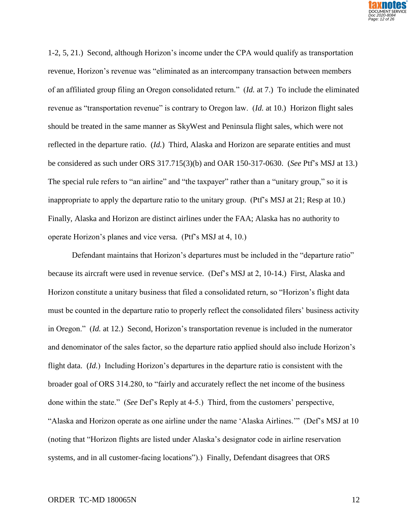

1-2, 5, 21.) Second, although Horizon's income under the CPA would qualify as transportation revenue, Horizon's revenue was "eliminated as an intercompany transaction between members of an affiliated group filing an Oregon consolidated return." (*Id.* at 7.) To include the eliminated revenue as "transportation revenue" is contrary to Oregon law. (*Id.* at 10.) Horizon flight sales should be treated in the same manner as SkyWest and Peninsula flight sales, which were not reflected in the departure ratio. (*Id.*) Third, Alaska and Horizon are separate entities and must be considered as such under ORS 317.715(3)(b) and OAR 150-317-0630. (*See* Ptf's MSJ at 13.) The special rule refers to "an airline" and "the taxpayer" rather than a "unitary group," so it is inappropriate to apply the departure ratio to the unitary group. (Ptf's MSJ at 21; Resp at 10.) Finally, Alaska and Horizon are distinct airlines under the FAA; Alaska has no authority to operate Horizon's planes and vice versa. (Ptf's MSJ at 4, 10.)

Defendant maintains that Horizon's departures must be included in the "departure ratio" because its aircraft were used in revenue service. (Def's MSJ at 2, 10-14.) First, Alaska and Horizon constitute a unitary business that filed a consolidated return, so "Horizon's flight data must be counted in the departure ratio to properly reflect the consolidated filers' business activity in Oregon." (*Id.* at 12.) Second, Horizon's transportation revenue is included in the numerator and denominator of the sales factor, so the departure ratio applied should also include Horizon's flight data. (*Id.*) Including Horizon's departures in the departure ratio is consistent with the broader goal of ORS 314.280, to "fairly and accurately reflect the net income of the business done within the state." (*See* Def's Reply at 4-5.) Third, from the customers' perspective, "Alaska and Horizon operate as one airline under the name 'Alaska Airlines.'" (Def's MSJ at 10 (noting that "Horizon flights are listed under Alaska's designator code in airline reservation systems, and in all customer-facing locations").) Finally, Defendant disagrees that ORS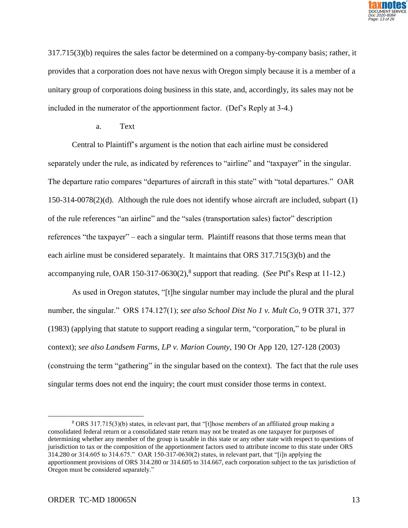

317.715(3)(b) requires the sales factor be determined on a company-by-company basis; rather, it provides that a corporation does not have nexus with Oregon simply because it is a member of a unitary group of corporations doing business in this state, and, accordingly, its sales may not be included in the numerator of the apportionment factor. (Def's Reply at 3-4.)

## a. Text

Central to Plaintiff's argument is the notion that each airline must be considered separately under the rule, as indicated by references to "airline" and "taxpayer" in the singular. The departure ratio compares "departures of aircraft in this state" with "total departures." OAR 150-314-0078(2)(d). Although the rule does not identify whose aircraft are included, subpart (1) of the rule references "an airline" and the "sales (transportation sales) factor" description references "the taxpayer" – each a singular term. Plaintiff reasons that those terms mean that each airline must be considered separately. It maintains that ORS 317.715(3)(b) and the accompanying rule, OAR 150-317-0630(2), 8 support that reading. (*See* Ptf's Resp at 11-12.)

As used in Oregon statutes, "[t]he singular number may include the plural and the plural number, the singular." ORS 174.127(1); *see also School Dist No 1 v. Mult Co*, 9 OTR 371, 377 (1983) (applying that statute to support reading a singular term, "corporation," to be plural in context); *see also Landsem Farms, LP v. Marion County*, 190 Or App 120, 127-128 (2003) (construing the term "gathering" in the singular based on the context). The fact that the rule uses singular terms does not end the inquiry; the court must consider those terms in context.

<sup>8</sup> ORS 317.715(3)(b) states, in relevant part, that "[t]hose members of an affiliated group making a consolidated federal return or a consolidated state return may not be treated as one taxpayer for purposes of determining whether any member of the group is taxable in this state or any other state with respect to questions of jurisdiction to tax or the composition of the apportionment factors used to attribute income to this state under ORS 314.280 or 314.605 to 314.675." OAR 150-317-0630(2) states, in relevant part, that "[i]n applying the apportionment provisions of ORS 314.280 or 314.605 to 314.667, each corporation subject to the tax jurisdiction of Oregon must be considered separately."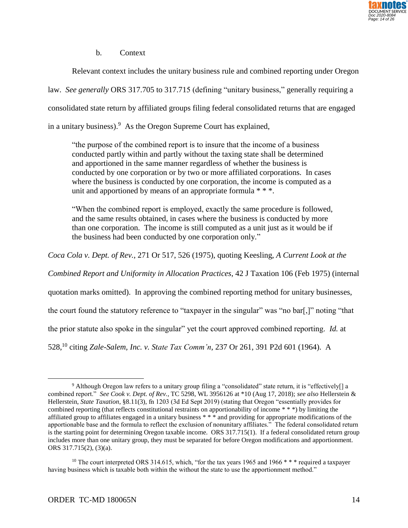

b. Context

Relevant context includes the unitary business rule and combined reporting under Oregon law. *See generally* ORS 317.705 to 317.715 (defining "unitary business," generally requiring a consolidated state return by affiliated groups filing federal consolidated returns that are engaged

in a unitary business). $9$  As the Oregon Supreme Court has explained,

"the purpose of the combined report is to insure that the income of a business conducted partly within and partly without the taxing state shall be determined and apportioned in the same manner regardless of whether the business is conducted by one corporation or by two or more affiliated corporations. In cases where the business is conducted by one corporation, the income is computed as a unit and apportioned by means of an appropriate formula \* \* \*.

"When the combined report is employed, exactly the same procedure is followed, and the same results obtained, in cases where the business is conducted by more than one corporation. The income is still computed as a unit just as it would be if the business had been conducted by one corporation only."

*Coca Cola v. Dept. of Rev.*, 271 Or 517, 526 (1975), quoting Keesling, *A Current Look at the* 

*Combined Report and Uniformity in Allocation Practices*, 42 J Taxation 106 (Feb 1975) (internal

quotation marks omitted). In approving the combined reporting method for unitary businesses,

the court found the statutory reference to "taxpayer in the singular" was "no bar[,]" noting "that

the prior statute also spoke in the singular" yet the court approved combined reporting. *Id.* at

528,<sup>10</sup> citing *Zale-Salem, Inc. v. State Tax Comm'n*, 237 Or 261, 391 P2d 601 (1964). A

<sup>9</sup> Although Oregon law refers to a unitary group filing a "consolidated" state return, it is "effectively[] a combined report." *See Cook v. Dept. of Rev.*, TC 5298, WL 3956126 at \*10 (Aug 17, 2018); *see also* Hellerstein & Hellerstein, *State Taxation*, §8.11(3), fn 1203 (3d Ed Sept 2019) (stating that Oregon "essentially provides for combined reporting (that reflects constitutional restraints on apportionability of income \* \* \*) by limiting the affiliated group to affiliates engaged in a unitary business \* \* \* and providing for appropriate modifications of the apportionable base and the formula to reflect the exclusion of nonunitary affiliates." The federal consolidated return is the starting point for determining Oregon taxable income. ORS 317.715(1). If a federal consolidated return group includes more than one unitary group, they must be separated for before Oregon modifications and apportionment. ORS 317.715(2), (3)(a).

<sup>&</sup>lt;sup>10</sup> The court interpreted ORS 314.615, which, "for the tax years 1965 and 1966 \* \* \* required a taxpayer having business which is taxable both within the without the state to use the apportionment method."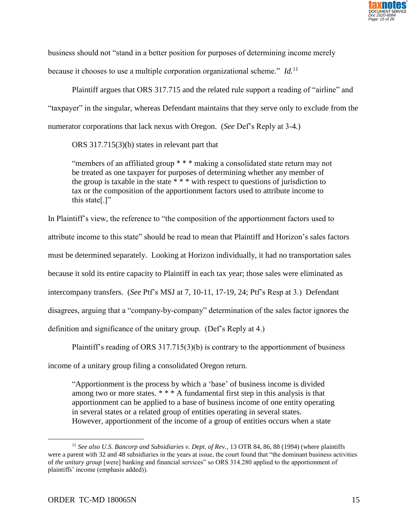

business should not "stand in a better position for purposes of determining income merely

because it chooses to use a multiple corporation organizational scheme." *Id*.<sup>11</sup>

Plaintiff argues that ORS 317.715 and the related rule support a reading of "airline" and "taxpayer" in the singular, whereas Defendant maintains that they serve only to exclude from the numerator corporations that lack nexus with Oregon. (*See* Def's Reply at 3-4.)

ORS 317.715(3)(b) states in relevant part that

"members of an affiliated group \* \* \* making a consolidated state return may not be treated as one taxpayer for purposes of determining whether any member of the group is taxable in the state \* \* \* with respect to questions of jurisdiction to tax or the composition of the apportionment factors used to attribute income to this state[.]"

In Plaintiff's view, the reference to "the composition of the apportionment factors used to attribute income to this state" should be read to mean that Plaintiff and Horizon's sales factors must be determined separately. Looking at Horizon individually, it had no transportation sales because it sold its entire capacity to Plaintiff in each tax year; those sales were eliminated as intercompany transfers. (*See* Ptf's MSJ at 7, 10-11, 17-19, 24; Ptf's Resp at 3.) Defendant disagrees, arguing that a "company-by-company" determination of the sales factor ignores the definition and significance of the unitary group. (Def's Reply at 4.)

Plaintiff's reading of ORS 317.715(3)(b) is contrary to the apportionment of business income of a unitary group filing a consolidated Oregon return.

"Apportionment is the process by which a 'base' of business income is divided among two or more states. \* \* \* A fundamental first step in this analysis is that apportionment can be applied to a base of business income of one entity operating in several states or a related group of entities operating in several states. However, apportionment of the income of a group of entities occurs when a state

<sup>11</sup> *See also U.S. Bancorp and Subsidiaries v. Dept. of Rev.*, 13 OTR 84, 86, 88 (1994) (where plaintiffs were a parent with 32 and 48 subsidiaries in the years at issue, the court found that "the dominant business activities of *the unitary group* [were] banking and financial services" so ORS 314.280 applied to the apportionment of plaintiffs' income (emphasis added)).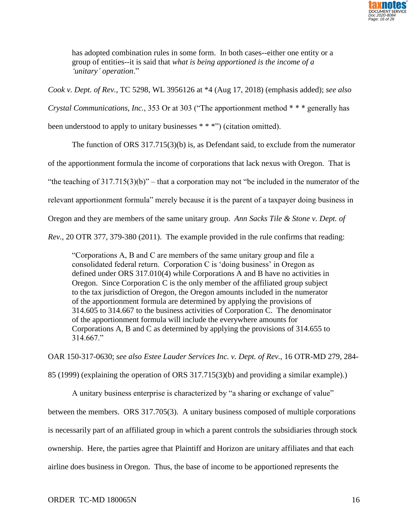

has adopted combination rules in some form. In both cases--either one entity or a group of entities--it is said that *what is being apportioned is the income of a 'unitary' operation*."

*Cook v. Dept. of Rev.*, TC 5298, WL 3956126 at \*4 (Aug 17, 2018) (emphasis added); *see also*

*Crystal Communications, Inc.*, 353 Or at 303 ("The apportionment method \* \* \* generally has

been understood to apply to unitary businesses \* \* \*") (citation omitted).

The function of ORS 317.715(3)(b) is, as Defendant said, to exclude from the numerator of the apportionment formula the income of corporations that lack nexus with Oregon. That is "the teaching of  $317.715(3)(b)$ " – that a corporation may not "be included in the numerator of the relevant apportionment formula" merely because it is the parent of a taxpayer doing business in Oregon and they are members of the same unitary group. *Ann Sacks Tile & Stone v. Dept. of Rev.*, 20 OTR 377, 379-380 (2011). The example provided in the rule confirms that reading:

"Corporations A, B and C are members of the same unitary group and file a consolidated federal return. Corporation C is 'doing business' in Oregon as defined under ORS 317.010(4) while Corporations A and B have no activities in Oregon. Since Corporation C is the only member of the affiliated group subject to the tax jurisdiction of Oregon, the Oregon amounts included in the numerator of the apportionment formula are determined by applying the provisions of 314.605 to 314.667 to the business activities of Corporation C. The denominator of the apportionment formula will include the everywhere amounts for Corporations A, B and C as determined by applying the provisions of 314.655 to  $314.667$ ."

OAR 150-317-0630; *see also Estee Lauder Services Inc. v. Dept. of Rev.*, 16 OTR-MD 279, 284-

85 (1999) (explaining the operation of ORS 317.715(3)(b) and providing a similar example).)

A unitary business enterprise is characterized by "a sharing or exchange of value"

between the members. ORS 317.705(3). A unitary business composed of multiple corporations

is necessarily part of an affiliated group in which a parent controls the subsidiaries through stock

ownership. Here, the parties agree that Plaintiff and Horizon are unitary affiliates and that each

airline does business in Oregon. Thus, the base of income to be apportioned represents the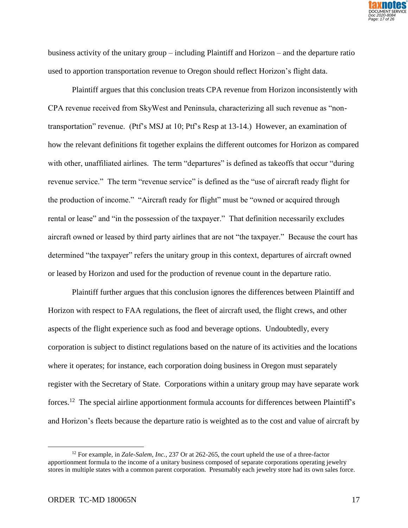

business activity of the unitary group – including Plaintiff and Horizon – and the departure ratio used to apportion transportation revenue to Oregon should reflect Horizon's flight data.

Plaintiff argues that this conclusion treats CPA revenue from Horizon inconsistently with CPA revenue received from SkyWest and Peninsula, characterizing all such revenue as "nontransportation" revenue. (Ptf's MSJ at 10; Ptf's Resp at 13-14.) However, an examination of how the relevant definitions fit together explains the different outcomes for Horizon as compared with other, unaffiliated airlines. The term "departures" is defined as takeoffs that occur "during revenue service." The term "revenue service" is defined as the "use of aircraft ready flight for the production of income." "Aircraft ready for flight" must be "owned or acquired through rental or lease" and "in the possession of the taxpayer." That definition necessarily excludes aircraft owned or leased by third party airlines that are not "the taxpayer." Because the court has determined "the taxpayer" refers the unitary group in this context, departures of aircraft owned or leased by Horizon and used for the production of revenue count in the departure ratio.

Plaintiff further argues that this conclusion ignores the differences between Plaintiff and Horizon with respect to FAA regulations, the fleet of aircraft used, the flight crews, and other aspects of the flight experience such as food and beverage options. Undoubtedly, every corporation is subject to distinct regulations based on the nature of its activities and the locations where it operates; for instance, each corporation doing business in Oregon must separately register with the Secretary of State. Corporations within a unitary group may have separate work forces.<sup>12</sup> The special airline apportionment formula accounts for differences between Plaintiff's and Horizon's fleets because the departure ratio is weighted as to the cost and value of aircraft by

<sup>12</sup> For example, in *Zale-Salem, Inc.*, 237 Or at 262-265, the court upheld the use of a three-factor apportionment formula to the income of a unitary business composed of separate corporations operating jewelry stores in multiple states with a common parent corporation. Presumably each jewelry store had its own sales force.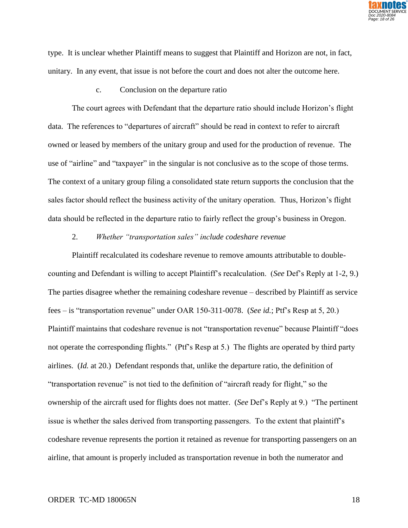

type. It is unclear whether Plaintiff means to suggest that Plaintiff and Horizon are not, in fact, unitary. In any event, that issue is not before the court and does not alter the outcome here.

c. Conclusion on the departure ratio

The court agrees with Defendant that the departure ratio should include Horizon's flight data. The references to "departures of aircraft" should be read in context to refer to aircraft owned or leased by members of the unitary group and used for the production of revenue. The use of "airline" and "taxpayer" in the singular is not conclusive as to the scope of those terms. The context of a unitary group filing a consolidated state return supports the conclusion that the sales factor should reflect the business activity of the unitary operation. Thus, Horizon's flight data should be reflected in the departure ratio to fairly reflect the group's business in Oregon.

#### 2. *Whether "transportation sales" include codeshare revenue*

Plaintiff recalculated its codeshare revenue to remove amounts attributable to doublecounting and Defendant is willing to accept Plaintiff's recalculation. (*See* Def's Reply at 1-2, 9.) The parties disagree whether the remaining codeshare revenue – described by Plaintiff as service fees – is "transportation revenue" under OAR 150-311-0078. (*See id.*; Ptf's Resp at 5, 20.) Plaintiff maintains that codeshare revenue is not "transportation revenue" because Plaintiff "does not operate the corresponding flights." (Ptf's Resp at 5.) The flights are operated by third party airlines. (*Id.* at 20.) Defendant responds that, unlike the departure ratio, the definition of "transportation revenue" is not tied to the definition of "aircraft ready for flight," so the ownership of the aircraft used for flights does not matter. (*See* Def's Reply at 9.) "The pertinent issue is whether the sales derived from transporting passengers. To the extent that plaintiff's codeshare revenue represents the portion it retained as revenue for transporting passengers on an airline, that amount is properly included as transportation revenue in both the numerator and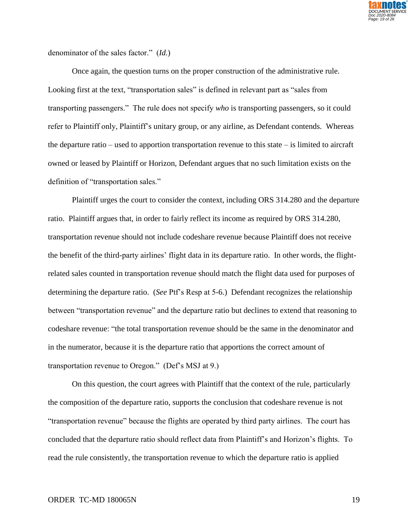

denominator of the sales factor." (*Id.*)

Once again, the question turns on the proper construction of the administrative rule. Looking first at the text, "transportation sales" is defined in relevant part as "sales from transporting passengers." The rule does not specify *who* is transporting passengers, so it could refer to Plaintiff only, Plaintiff's unitary group, or any airline, as Defendant contends. Whereas the departure ratio – used to apportion transportation revenue to this state – is limited to aircraft owned or leased by Plaintiff or Horizon, Defendant argues that no such limitation exists on the definition of "transportation sales."

Plaintiff urges the court to consider the context, including ORS 314.280 and the departure ratio. Plaintiff argues that, in order to fairly reflect its income as required by ORS 314.280, transportation revenue should not include codeshare revenue because Plaintiff does not receive the benefit of the third-party airlines' flight data in its departure ratio. In other words, the flightrelated sales counted in transportation revenue should match the flight data used for purposes of determining the departure ratio. (*See* Ptf's Resp at 5-6.) Defendant recognizes the relationship between "transportation revenue" and the departure ratio but declines to extend that reasoning to codeshare revenue: "the total transportation revenue should be the same in the denominator and in the numerator, because it is the departure ratio that apportions the correct amount of transportation revenue to Oregon." (Def's MSJ at 9.)

On this question, the court agrees with Plaintiff that the context of the rule, particularly the composition of the departure ratio, supports the conclusion that codeshare revenue is not "transportation revenue" because the flights are operated by third party airlines. The court has concluded that the departure ratio should reflect data from Plaintiff's and Horizon's flights. To read the rule consistently, the transportation revenue to which the departure ratio is applied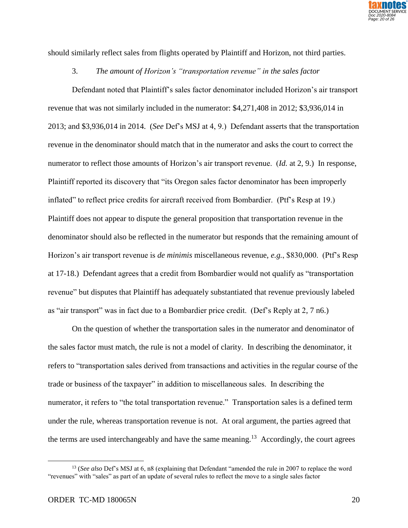

should similarly reflect sales from flights operated by Plaintiff and Horizon, not third parties.

### 3. *The amount of Horizon's "transportation revenue" in the sales factor*

Defendant noted that Plaintiff's sales factor denominator included Horizon's air transport revenue that was not similarly included in the numerator: \$4,271,408 in 2012; \$3,936,014 in 2013; and \$3,936,014 in 2014. (*See* Def's MSJ at 4, 9.) Defendant asserts that the transportation revenue in the denominator should match that in the numerator and asks the court to correct the numerator to reflect those amounts of Horizon's air transport revenue. (*Id.* at 2, 9.) In response, Plaintiff reported its discovery that "its Oregon sales factor denominator has been improperly inflated" to reflect price credits for aircraft received from Bombardier. (Ptf's Resp at 19.) Plaintiff does not appear to dispute the general proposition that transportation revenue in the denominator should also be reflected in the numerator but responds that the remaining amount of Horizon's air transport revenue is *de minimis* miscellaneous revenue, *e.g.*, \$830,000. (Ptf's Resp at 17-18.) Defendant agrees that a credit from Bombardier would not qualify as "transportation revenue" but disputes that Plaintiff has adequately substantiated that revenue previously labeled as "air transport" was in fact due to a Bombardier price credit. (Def's Reply at 2, 7 n6.)

On the question of whether the transportation sales in the numerator and denominator of the sales factor must match, the rule is not a model of clarity. In describing the denominator, it refers to "transportation sales derived from transactions and activities in the regular course of the trade or business of the taxpayer" in addition to miscellaneous sales. In describing the numerator, it refers to "the total transportation revenue." Transportation sales is a defined term under the rule, whereas transportation revenue is not. At oral argument, the parties agreed that the terms are used interchangeably and have the same meaning.<sup>13</sup> Accordingly, the court agrees

<sup>13</sup> (*See also* Def's MSJ at 6, n8 (explaining that Defendant "amended the rule in 2007 to replace the word "revenues" with "sales" as part of an update of several rules to reflect the move to a single sales factor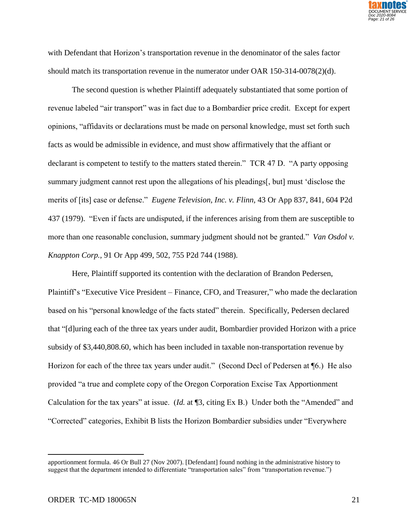

with Defendant that Horizon's transportation revenue in the denominator of the sales factor should match its transportation revenue in the numerator under OAR 150-314-0078(2)(d).

The second question is whether Plaintiff adequately substantiated that some portion of revenue labeled "air transport" was in fact due to a Bombardier price credit. Except for expert opinions, "affidavits or declarations must be made on personal knowledge, must set forth such facts as would be admissible in evidence, and must show affirmatively that the affiant or declarant is competent to testify to the matters stated therein." TCR 47 D. "A party opposing summary judgment cannot rest upon the allegations of his pleadings[, but] must 'disclose the merits of [its] case or defense." *Eugene Television, Inc. v. Flinn,* 43 Or App 837, 841, 604 P2d 437 (1979). "Even if facts are undisputed, if the inferences arising from them are susceptible to more than one reasonable conclusion, summary judgment should not be granted." *Van Osdol v. Knappton Corp.*, 91 Or App 499, 502, 755 P2d 744 (1988).

Here, Plaintiff supported its contention with the declaration of Brandon Pedersen, Plaintiff's "Executive Vice President – Finance, CFO, and Treasurer," who made the declaration based on his "personal knowledge of the facts stated" therein. Specifically, Pedersen declared that "[d]uring each of the three tax years under audit, Bombardier provided Horizon with a price subsidy of \$3,440,808.60, which has been included in taxable non-transportation revenue by Horizon for each of the three tax years under audit." (Second Decl of Pedersen at ¶6.) He also provided "a true and complete copy of the Oregon Corporation Excise Tax Apportionment Calculation for the tax years" at issue. (*Id.* at ¶3, citing Ex B.) Under both the "Amended" and "Corrected" categories, Exhibit B lists the Horizon Bombardier subsidies under "Everywhere

apportionment formula. 46 Or Bull 27 (Nov 2007). [Defendant] found nothing in the administrative history to suggest that the department intended to differentiate "transportation sales" from "transportation revenue.")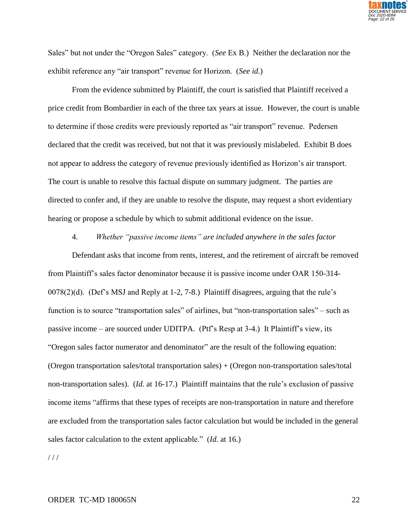

Sales" but not under the "Oregon Sales" category. (*See* Ex B.) Neither the declaration nor the exhibit reference any "air transport" revenue for Horizon. (*See id.*)

From the evidence submitted by Plaintiff, the court is satisfied that Plaintiff received a price credit from Bombardier in each of the three tax years at issue. However, the court is unable to determine if those credits were previously reported as "air transport" revenue. Pedersen declared that the credit was received, but not that it was previously mislabeled. Exhibit B does not appear to address the category of revenue previously identified as Horizon's air transport. The court is unable to resolve this factual dispute on summary judgment. The parties are directed to confer and, if they are unable to resolve the dispute, may request a short evidentiary hearing or propose a schedule by which to submit additional evidence on the issue.

4. *Whether "passive income items" are included anywhere in the sales factor*

Defendant asks that income from rents, interest, and the retirement of aircraft be removed from Plaintiff's sales factor denominator because it is passive income under OAR 150-314- 0078(2)(d). (Def's MSJ and Reply at 1-2, 7-8.) Plaintiff disagrees, arguing that the rule's function is to source "transportation sales" of airlines, but "non-transportation sales" – such as passive income – are sourced under UDITPA. (Ptf's Resp at 3-4.) It Plaintiff's view, its "Oregon sales factor numerator and denominator" are the result of the following equation: (Oregon transportation sales/total transportation sales) + (Oregon non-transportation sales/total non-transportation sales). (*Id.* at 16-17.) Plaintiff maintains that the rule's exclusion of passive income items "affirms that these types of receipts are non-transportation in nature and therefore are excluded from the transportation sales factor calculation but would be included in the general sales factor calculation to the extent applicable." (*Id.* at 16.)

 $//$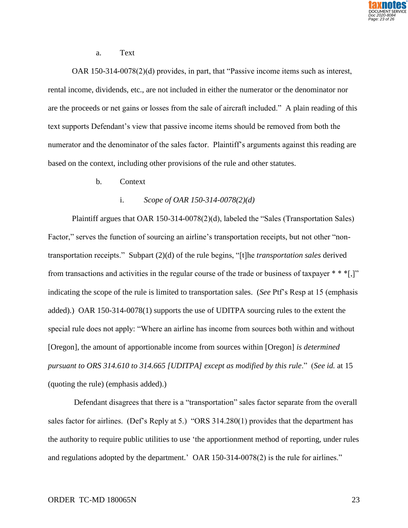

a. Text

OAR 150-314-0078(2)(d) provides, in part, that "Passive income items such as interest, rental income, dividends, etc., are not included in either the numerator or the denominator nor are the proceeds or net gains or losses from the sale of aircraft included." A plain reading of this text supports Defendant's view that passive income items should be removed from both the numerator and the denominator of the sales factor. Plaintiff's arguments against this reading are based on the context, including other provisions of the rule and other statutes.

b. Context

### i. *Scope of OAR 150-314-0078(2)(d)*

Plaintiff argues that OAR 150-314-0078(2)(d), labeled the "Sales (Transportation Sales) Factor," serves the function of sourcing an airline's transportation receipts, but not other "nontransportation receipts." Subpart (2)(d) of the rule begins, "[t]he *transportation sales* derived from transactions and activities in the regular course of the trade or business of taxpayer  $**$  [,]" indicating the scope of the rule is limited to transportation sales. (*See* Ptf's Resp at 15 (emphasis added).) OAR 150-314-0078(1) supports the use of UDITPA sourcing rules to the extent the special rule does not apply: "Where an airline has income from sources both within and without [Oregon], the amount of apportionable income from sources within [Oregon] *is determined pursuant to ORS 314.610 to 314.665 [UDITPA] except as modified by this rule*." (*See id.* at 15 (quoting the rule) (emphasis added).)

Defendant disagrees that there is a "transportation" sales factor separate from the overall sales factor for airlines. (Def's Reply at 5.) "ORS 314.280(1) provides that the department has the authority to require public utilities to use 'the apportionment method of reporting, under rules and regulations adopted by the department.' OAR 150-314-0078(2) is the rule for airlines."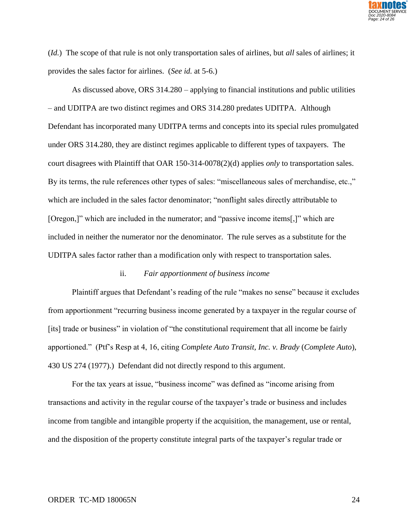

(*Id.*) The scope of that rule is not only transportation sales of airlines, but *all* sales of airlines; it provides the sales factor for airlines. (*See id.* at 5-6.)

As discussed above, ORS 314.280 – applying to financial institutions and public utilities – and UDITPA are two distinct regimes and ORS 314.280 predates UDITPA. Although Defendant has incorporated many UDITPA terms and concepts into its special rules promulgated under ORS 314.280, they are distinct regimes applicable to different types of taxpayers. The court disagrees with Plaintiff that OAR 150-314-0078(2)(d) applies *only* to transportation sales. By its terms, the rule references other types of sales: "miscellaneous sales of merchandise, etc.," which are included in the sales factor denominator; "nonflight sales directly attributable to [Oregon,]" which are included in the numerator; and "passive income items[,]" which are included in neither the numerator nor the denominator. The rule serves as a substitute for the UDITPA sales factor rather than a modification only with respect to transportation sales.

### ii. *Fair apportionment of business income*

Plaintiff argues that Defendant's reading of the rule "makes no sense" because it excludes from apportionment "recurring business income generated by a taxpayer in the regular course of [its] trade or business" in violation of "the constitutional requirement that all income be fairly apportioned." (Ptf's Resp at 4, 16, citing *Complete Auto Transit, Inc. v. Brady* (*Complete Auto*), 430 US 274 (1977).) Defendant did not directly respond to this argument.

For the tax years at issue, "business income" was defined as "income arising from transactions and activity in the regular course of the taxpayer's trade or business and includes income from tangible and intangible property if the acquisition, the management, use or rental, and the disposition of the property constitute integral parts of the taxpayer's regular trade or

#### ORDER TC-MD 180065N 24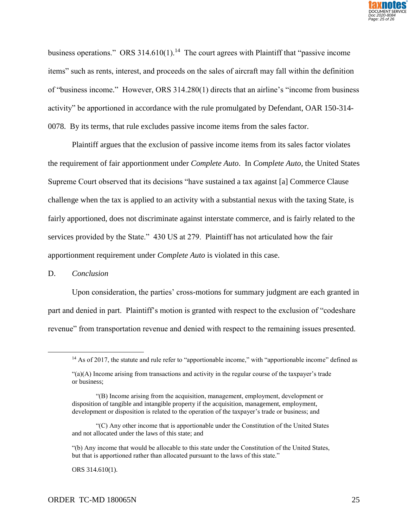

business operations." ORS 314.610(1).<sup>14</sup> The court agrees with Plaintiff that "passive income items" such as rents, interest, and proceeds on the sales of aircraft may fall within the definition of "business income." However, ORS 314.280(1) directs that an airline's "income from business activity" be apportioned in accordance with the rule promulgated by Defendant, OAR 150-314- 0078. By its terms, that rule excludes passive income items from the sales factor.

Plaintiff argues that the exclusion of passive income items from its sales factor violates the requirement of fair apportionment under *Complete Auto*. In *Complete Auto*, the United States Supreme Court observed that its decisions "have sustained a tax against [a] Commerce Clause challenge when the tax is applied to an activity with a substantial nexus with the taxing State, is fairly apportioned, does not discriminate against interstate commerce, and is fairly related to the services provided by the State." 430 US at 279. Plaintiff has not articulated how the fair apportionment requirement under *Complete Auto* is violated in this case.

### D. *Conclusion*

 $\overline{a}$ 

Upon consideration, the parties' cross-motions for summary judgment are each granted in part and denied in part. Plaintiff's motion is granted with respect to the exclusion of "codeshare revenue" from transportation revenue and denied with respect to the remaining issues presented.

ORS 314.610(1).

<sup>&</sup>lt;sup>14</sup> As of 2017, the statute and rule refer to "apportionable income," with "apportionable income" defined as

<sup>&</sup>quot;(a)(A) Income arising from transactions and activity in the regular course of the taxpayer's trade or business;

<sup>&</sup>quot;(B) Income arising from the acquisition, management, employment, development or disposition of tangible and intangible property if the acquisition, management, employment, development or disposition is related to the operation of the taxpayer's trade or business; and

<sup>&</sup>quot;(C) Any other income that is apportionable under the Constitution of the United States and not allocated under the laws of this state; and

<sup>&</sup>quot;(b) Any income that would be allocable to this state under the Constitution of the United States, but that is apportioned rather than allocated pursuant to the laws of this state."